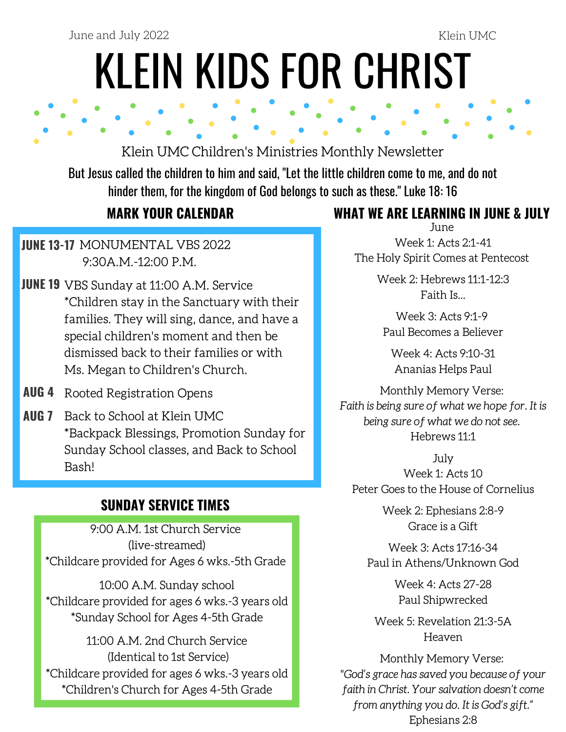June and July 2022 Klein UMC

# KLEIN KIDS FOR CHRIST

# Klein UMC Children's Ministries Monthly Newsletter

But Jesus called the children to him and said, "Let the little children come to me, and do not hinder them, for the kingdom of God belongs to such as these." Luke 18: 16

### **JUNE 13-17** MONUMENTAL VBS 2022 9:30A.M.-12:00 P.M.

- **JUNE 19** VBS Sunday at 11:00 A.M. Service \*Children stay in the Sanctuary with their families. They will sing, dance, and have a special children's moment and then be dismissed back to their families or with Ms. Megan to Children's Church.
- **AUG 4** Rooted Registration Opens
- Back to School at Klein UMC **AUG 7** \*Backpack Blessings, Promotion Sunday for Sunday School classes, and Back to School Bash!

# **SUNDAY SERVICE TIMES**

9:00 A.M. 1st Church Service (live-streamed) \*Childcare provided for Ages 6 wks.-5th Grade

10:00 A.M. Sunday school \*Childcare provided for ages 6 wks.-3 years old \*Sunday School for Ages 4-5th Grade

11:00 A.M. 2nd Church Service (Identical to 1st Service) \*Childcare provided for ages 6 wks.-3 years old \*Children's Church for Ages 4-5th Grade

# **MARK YOUR CALENDAR WHAT WE ARE LEARNING IN JUNE & JULY**

June [Week](https://www.kleinumc.org/childrens-ministries) 1: Acts 2:1-41 The Holy Spirit Comes at Pentecost

> [Week](https://www.kleinumc.org/childrens-ministries) 2: Hebrews 11:1-12:3 Faith Is...

[Week](https://www.kleinumc.org/childrens-ministries) 3: Acts 9:1-9 Paul Becomes a Believer

Week 4: Acts 9:10-31 Ananias Helps Paul

Monthly Memory Verse: Faith is being sure of what we hope for. It is being sure of what we do not see. Hebrews 11:1

July Week 1: Acts 10 Peter Goes to the House of Cornelius

> Week 2: Ephesians 2:8-9 Grace is a Gift

Week 3: Acts 17:16-34 Paul in Athens/Unknown God

> Week 4: Acts 27-28 Paul Shipwrecked

Week 5: Revelation 21:3-5A Heaven

Monthly Memory Verse: "God's grace has saved you because of your faith in Christ. Your salvation doesn't come from anything you do. It is God's gift." Ephesians 2:8